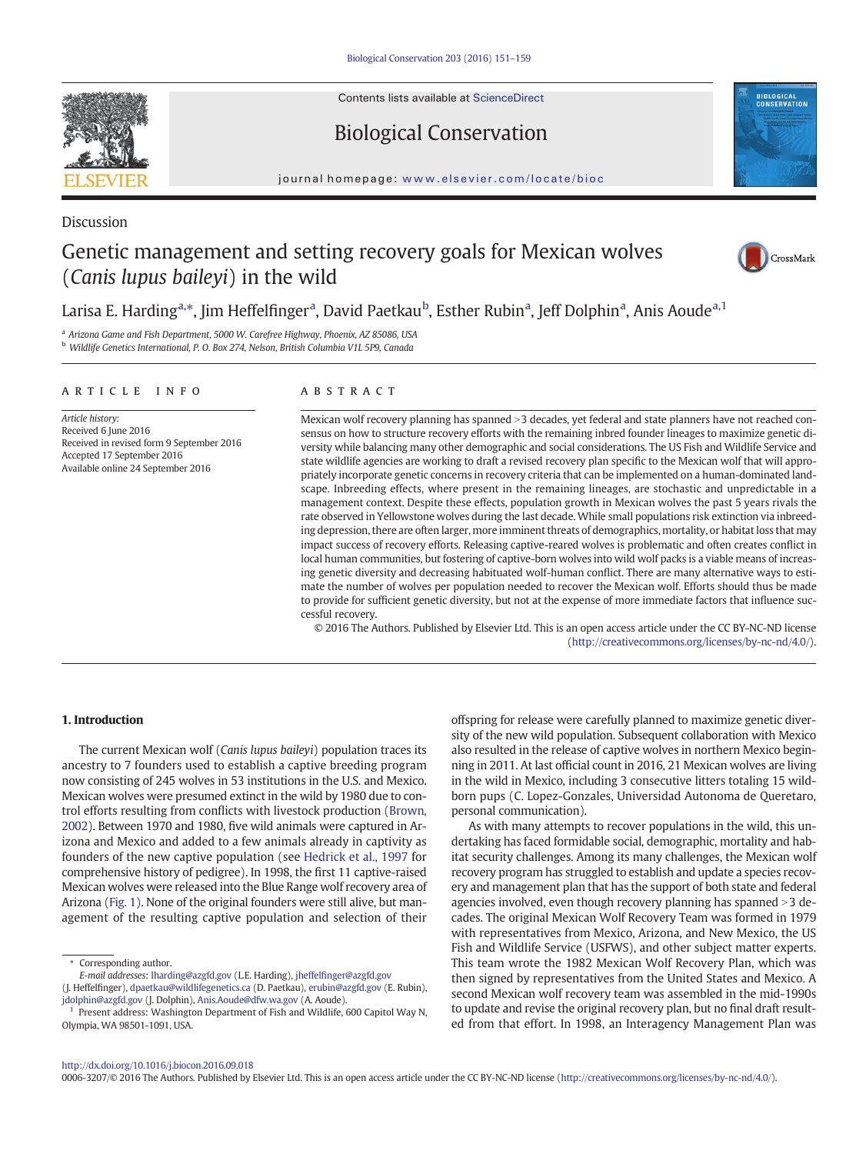Contents lists available at ScienceDirect





## journal homepage: <www.elsevier.com/locate/bioc>

## Discussion

# Genetic management and setting recovery goals for Mexican wolves (Canis lupus baileyi) in the wild



# Larisa E. Harding<sup>a,</sup>\*, Jim Heffelfinger<sup>a</sup>, David Paetkau<sup>b</sup>, Esther Rubin<sup>a</sup>, Jeff Dolphin<sup>a</sup>, Anis Aoude<sup>a,1</sup>

<sup>a</sup> Arizona Game and Fish Department, 5000 W. Carefree Highway, Phoenix, AZ 85086, USA

<sup>b</sup> Wildlife Genetics International, P. O. Box 274, Nelson, British Columbia V1L 5P9, Canada

## article info abstract

Article history: Received 6 June 2016 Received in revised form 9 September 2016 Accepted 17 September 2016 Available online 24 September 2016

Mexican wolf recovery planning has spanned >3 decades, yet federal and state planners have not reached consensus on how to structure recovery efforts with the remaining inbred founder lineages to maximize genetic diversity while balancing many other demographic and social considerations. The US Fish and Wildlife Service and state wildlife agencies are working to draft a revised recovery plan specific to the Mexican wolf that will appropriately incorporate genetic concerns in recovery criteria that can be implemented on a human-dominated landscape. Inbreeding effects, where present in the remaining lineages, are stochastic and unpredictable in a management context. Despite these effects, population growth in Mexican wolves the past 5 years rivals the rate observed in Yellowstone wolves during the last decade. While small populations risk extinction via inbreeding depression, there are often larger, more imminent threats of demographics, mortality, or habitat loss that may impact success of recovery efforts. Releasing captive-reared wolves is problematic and often creates conflict in local human communities, but fostering of captive-born wolves into wild wolf packs is a viable means of increasing genetic diversity and decreasing habituated wolf-human conflict. There are many alternative ways to estimate the number of wolves per population needed to recover the Mexican wolf. Efforts should thus be made to provide for sufficient genetic diversity, but not at the expense of more immediate factors that influence successful recovery.

© 2016 The Authors. Published by Elsevier Ltd. This is an open access article under the CC BY-NC-ND license ([http://creativecommons.org/licenses/by-nc-nd/4.0/\)](0opyright_ulicense).

## 1. Introduction

The current Mexican wolf (Canis lupus baileyi) population traces its ancestry to 7 founders used to establish a captive breeding program now consisting of 245 wolves in 53 institutions in the U.S. and Mexico. Mexican wolves were presumed extinct in the wild by 1980 due to control efforts resulting from conflicts with livestock production ([Brown,](#page-6-0) [2002](#page-6-0)). Between 1970 and 1980, five wild animals were captured in Arizona and Mexico and added to a few animals already in captivity as founders of the new captive population (see [Hedrick et al., 1997](#page-7-0) for comprehensive history of pedigree). In 1998, the first 11 captive-raised Mexican wolves were released into the Blue Range wolf recovery area of Arizona [\(Fig. 1\)](#page-1-0). None of the original founders were still alive, but management of the resulting captive population and selection of their

Corresponding author.

E-mail addresses: lharding@azgfd.gov (L.E. Harding), jheffelfinger@azgfd.gov

offspring for release were carefully planned to maximize genetic diversity of the new wild population. Subsequent collaboration with Mexico also resulted in the release of captive wolves in northern Mexico beginning in 2011. At last official count in 2016, 21 Mexican wolves are living in the wild in Mexico, including 3 consecutive litters totaling 15 wildborn pups (C. Lopez-Gonzales, Universidad Autonoma de Queretaro, personal communication).

As with many attempts to recover populations in the wild, this undertaking has faced formidable social, demographic, mortality and habitat security challenges. Among its many challenges, the Mexican wolf recovery program has struggled to establish and update a species recovery and management plan that has the support of both state and federal agencies involved, even though recovery planning has spanned  $>3$  decades. The original Mexican Wolf Recovery Team was formed in 1979 with representatives from Mexico, Arizona, and New Mexico, the US Fish and Wildlife Service (USFWS), and other subject matter experts. This team wrote the 1982 Mexican Wolf Recovery Plan, which was then signed by representatives from the United States and Mexico. A second Mexican wolf recovery team was assembled in the mid-1990s to update and revise the original recovery plan, but no final draft resulted from that effort. In 1998, an Interagency Management Plan was

<http://dx.doi.org/10.1016/j.biocon.2016.09.018>

0006-3207/© 2016 The Authors. Published by Elsevier Ltd. This is an open access article under the CC BY-NC-ND license [\(http://creativecommons.org/licenses/by-nc-nd/4.0/\)](0opyright_ulicense).

<sup>(</sup>J. Heffelfinger), dpaetkau@wildlifegenetics.ca (D. Paetkau), erubin@azgfd.gov (E. Rubin), jdolphin@azgfd.gov (J. Dolphin), [Anis.Aoude@dfw.wa.gov](mailto:Anis.Aoude@dfw.wa.gov) (A. Aoude).

<sup>&</sup>lt;sup>1</sup> Present address: Washington Department of Fish and Wildlife, 600 Capitol Way N, Olympia, WA 98501-1091, USA.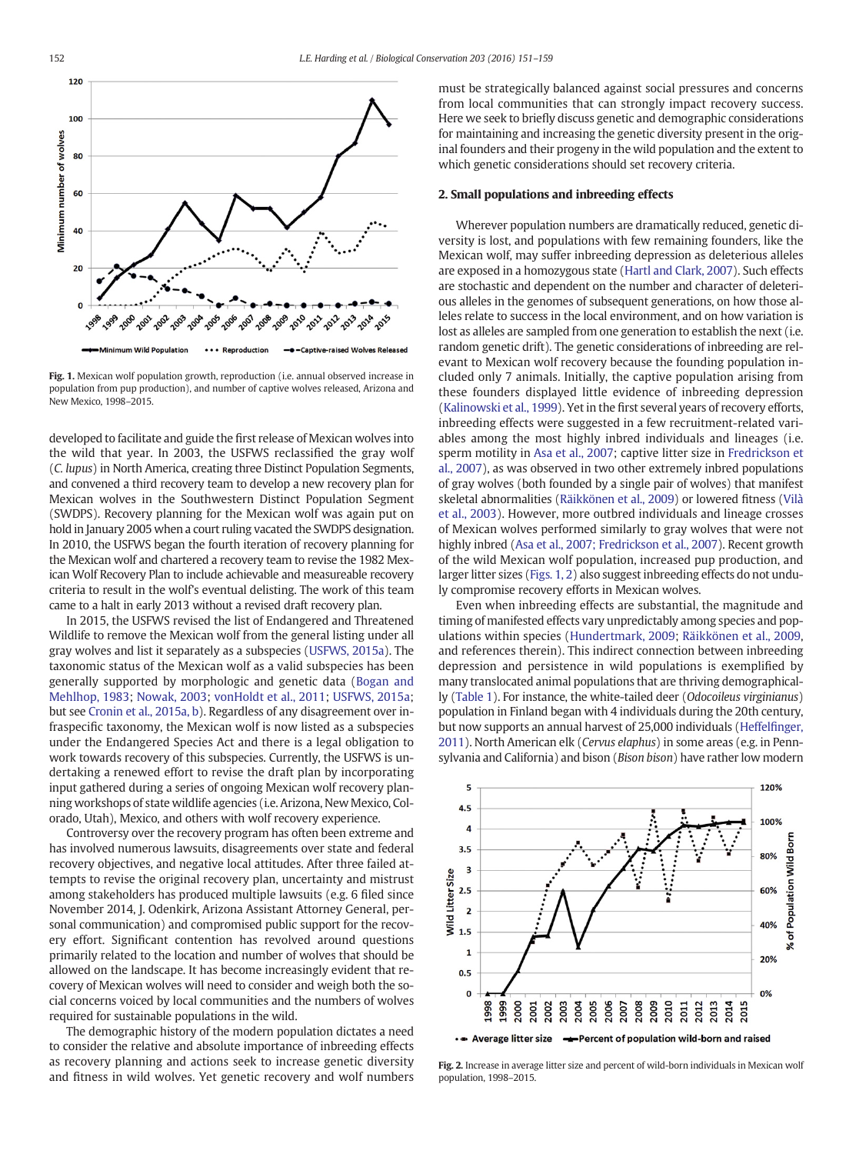<span id="page-1-0"></span>

Fig. 1. Mexican wolf population growth, reproduction (i.e. annual observed increase in population from pup production), and number of captive wolves released, Arizona and New Mexico, 1998–2015.

developed to facilitate and guide the first release of Mexican wolves into the wild that year. In 2003, the USFWS reclassified the gray wolf (C. lupus) in North America, creating three Distinct Population Segments, and convened a third recovery team to develop a new recovery plan for Mexican wolves in the Southwestern Distinct Population Segment (SWDPS). Recovery planning for the Mexican wolf was again put on hold in January 2005 when a court ruling vacated the SWDPS designation. In 2010, the USFWS began the fourth iteration of recovery planning for the Mexican wolf and chartered a recovery team to revise the 1982 Mexican Wolf Recovery Plan to include achievable and measureable recovery criteria to result in the wolf's eventual delisting. The work of this team came to a halt in early 2013 without a revised draft recovery plan.

In 2015, the USFWS revised the list of Endangered and Threatened Wildlife to remove the Mexican wolf from the general listing under all gray wolves and list it separately as a subspecies ([USFWS, 2015a](#page-8-0)). The taxonomic status of the Mexican wolf as a valid subspecies has been generally supported by morphologic and genetic data ([Bogan and](#page-6-0) [Mehlhop, 1983](#page-6-0); [Nowak, 2003](#page-7-0); [vonHoldt et al., 2011](#page-8-0); [USFWS, 2015a](#page-8-0); but see [Cronin et al., 2015a, b\)](#page-7-0). Regardless of any disagreement over infraspecific taxonomy, the Mexican wolf is now listed as a subspecies under the Endangered Species Act and there is a legal obligation to work towards recovery of this subspecies. Currently, the USFWS is undertaking a renewed effort to revise the draft plan by incorporating input gathered during a series of ongoing Mexican wolf recovery planning workshops of state wildlife agencies (i.e. Arizona, New Mexico, Colorado, Utah), Mexico, and others with wolf recovery experience.

Controversy over the recovery program has often been extreme and has involved numerous lawsuits, disagreements over state and federal recovery objectives, and negative local attitudes. After three failed attempts to revise the original recovery plan, uncertainty and mistrust among stakeholders has produced multiple lawsuits (e.g. 6 filed since November 2014, J. Odenkirk, Arizona Assistant Attorney General, personal communication) and compromised public support for the recovery effort. Significant contention has revolved around questions primarily related to the location and number of wolves that should be allowed on the landscape. It has become increasingly evident that recovery of Mexican wolves will need to consider and weigh both the social concerns voiced by local communities and the numbers of wolves required for sustainable populations in the wild.

The demographic history of the modern population dictates a need to consider the relative and absolute importance of inbreeding effects as recovery planning and actions seek to increase genetic diversity and fitness in wild wolves. Yet genetic recovery and wolf numbers must be strategically balanced against social pressures and concerns from local communities that can strongly impact recovery success. Here we seek to briefly discuss genetic and demographic considerations for maintaining and increasing the genetic diversity present in the original founders and their progeny in the wild population and the extent to which genetic considerations should set recovery criteria.

## 2. Small populations and inbreeding effects

Wherever population numbers are dramatically reduced, genetic diversity is lost, and populations with few remaining founders, like the Mexican wolf, may suffer inbreeding depression as deleterious alleles are exposed in a homozygous state ([Hartl and Clark, 2007](#page-7-0)). Such effects are stochastic and dependent on the number and character of deleterious alleles in the genomes of subsequent generations, on how those alleles relate to success in the local environment, and on how variation is lost as alleles are sampled from one generation to establish the next (i.e. random genetic drift). The genetic considerations of inbreeding are relevant to Mexican wolf recovery because the founding population included only 7 animals. Initially, the captive population arising from these founders displayed little evidence of inbreeding depression [\(Kalinowski et al., 1999](#page-7-0)). Yet in the first several years of recovery efforts, inbreeding effects were suggested in a few recruitment-related variables among the most highly inbred individuals and lineages (i.e. sperm motility in [Asa et al., 2007](#page-6-0); captive litter size in [Fredrickson et](#page-7-0) [al., 2007\)](#page-7-0), as was observed in two other extremely inbred populations of gray wolves (both founded by a single pair of wolves) that manifest skeletal abnormalities [\(Räikkönen et al., 2009\)](#page-7-0) or lowered fitness [\(Vilà](#page-8-0) [et al., 2003\)](#page-8-0). However, more outbred individuals and lineage crosses of Mexican wolves performed similarly to gray wolves that were not highly inbred ([Asa et al., 2007; Fredrickson et al., 2007\)](#page-6-0). Recent growth of the wild Mexican wolf population, increased pup production, and larger litter sizes (Figs. 1, 2) also suggest inbreeding effects do not unduly compromise recovery efforts in Mexican wolves.

Even when inbreeding effects are substantial, the magnitude and timing of manifested effects vary unpredictably among species and populations within species [\(Hundertmark, 2009;](#page-7-0) [Räikkönen et al., 2009,](#page-7-0) and references therein). This indirect connection between inbreeding depression and persistence in wild populations is exemplified by many translocated animal populations that are thriving demographically ([Table 1\)](#page-2-0). For instance, the white-tailed deer (Odocoileus virginianus) population in Finland began with 4 individuals during the 20th century, but now supports an annual harvest of 25,000 individuals [\(Heffel](#page-7-0)finger, [2011\)](#page-7-0). North American elk (Cervus elaphus) in some areas (e.g. in Pennsylvania and California) and bison (Bison bison) have rather low modern



Fig. 2. Increase in average litter size and percent of wild-born individuals in Mexican wolf population, 1998–2015.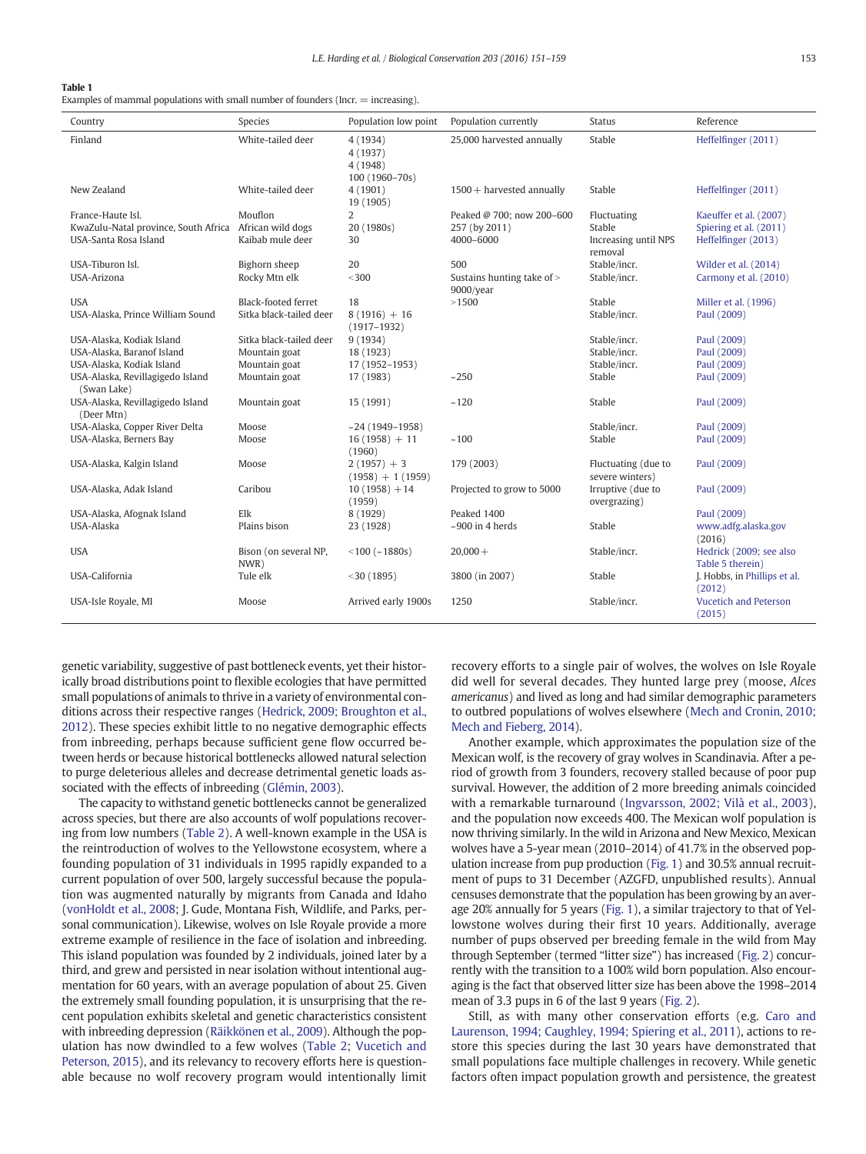## <span id="page-2-0"></span>Table 1

Examples of mammal populations with small number of founders (Incr.  $=$  increasing).

| Country                                                | Species                 | Population low point      | Population currently        | <b>Status</b>        | Reference                              |
|--------------------------------------------------------|-------------------------|---------------------------|-----------------------------|----------------------|----------------------------------------|
|                                                        |                         |                           |                             |                      |                                        |
| Finland                                                | White-tailed deer       | 4 (1934)                  | 25,000 harvested annually   | Stable               | Heffelfinger (2011)                    |
|                                                        |                         | 4 (1937)                  |                             |                      |                                        |
|                                                        |                         | 4 (1948)                  |                             |                      |                                        |
| New Zealand                                            | White-tailed deer       | 100 (1960-70s)            |                             | Stable               |                                        |
|                                                        |                         | 4 (1901)                  | $1500 +$ harvested annually |                      | Heffelfinger (2011)                    |
| France-Haute Isl.                                      | Mouflon                 | 19 (1905)<br>2            | Peaked @ 700; now 200-600   | Fluctuating          | Kaeuffer et al. (2007)                 |
| KwaZulu-Natal province, South Africa African wild dogs |                         | 20 (1980s)                | 257 (by 2011)               | Stable               | Spiering et al. (2011)                 |
| USA-Santa Rosa Island                                  | Kaibab mule deer        | 30                        | 4000-6000                   | Increasing until NPS | Heffelfinger (2013)                    |
|                                                        |                         |                           |                             | removal              |                                        |
| USA-Tiburon Isl.                                       | Bighorn sheep           | 20                        | 500                         | Stable/incr.         | Wilder et al. (2014)                   |
| USA-Arizona                                            | Rocky Mtn elk           | $<$ 300                   | Sustains hunting take of >  | Stable/incr.         | Carmony et al. (2010)                  |
|                                                        |                         |                           | 9000/year                   |                      |                                        |
| <b>USA</b>                                             | Black-footed ferret     | 18                        | >1500                       | Stable               | Miller et al. (1996)                   |
| USA-Alaska, Prince William Sound                       | Sitka black-tailed deer | $8(1916) + 16$            |                             | Stable/incr.         | Paul (2009)                            |
|                                                        |                         | $(1917 - 1932)$           |                             |                      |                                        |
| USA-Alaska, Kodiak Island                              | Sitka black-tailed deer | 9 (1934)                  |                             | Stable/incr.         | Paul (2009)                            |
| USA-Alaska, Baranof Island                             | Mountain goat           | 18 (1923)                 |                             | Stable/incr.         | Paul (2009)                            |
| USA-Alaska, Kodiak Island                              | Mountain goat           | 17 (1952-1953)            |                             | Stable/incr.         | Paul (2009)                            |
| USA-Alaska, Revillagigedo Island<br>(Swan Lake)        | Mountain goat           | 17 (1983)                 | ~250                        | Stable               | Paul (2009)                            |
| USA-Alaska, Revillagigedo Island                       | Mountain goat           | 15 (1991)                 | ~120                        | Stable               | Paul (2009)                            |
| (Deer Mtn)                                             |                         |                           |                             |                      |                                        |
| USA-Alaska, Copper River Delta                         | Moose                   | $~24(1949-1958)$          |                             | Stable/incr.         | Paul (2009)                            |
| USA-Alaska, Berners Bay                                | Moose                   | $16(1958) + 11$<br>(1960) | ~100                        | Stable               | Paul (2009)                            |
| USA-Alaska, Kalgin Island                              | Moose                   | $2(1957) + 3$             | 179 (2003)                  | Fluctuating (due to  | Paul (2009)                            |
|                                                        |                         | $(1958) + 1(1959)$        |                             | severe winters)      |                                        |
| USA-Alaska, Adak Island                                | Caribou                 | $10(1958) + 14$           | Projected to grow to 5000   | Irruptive (due to    | Paul (2009)                            |
|                                                        |                         | (1959)                    |                             | overgrazing)         |                                        |
| USA-Alaska, Afognak Island                             | Elk                     | 8 (1929)                  | Peaked 1400                 |                      | Paul (2009)                            |
| USA-Alaska                                             | Plains bison            | 23 (1928)                 | $\sim$ 900 in 4 herds       | Stable               | www.adfg.alaska.gov<br>(2016)          |
| <b>USA</b>                                             | Bison (on several NP,   | $< 100 (-1880s)$          | $20,000+$                   | Stable/incr.         | Hedrick (2009; see also                |
|                                                        | NWR)                    |                           |                             |                      | Table 5 therein)                       |
| USA-California                                         | Tule elk                | $<$ 30 (1895)             | 3800 (in 2007)              | Stable               | J. Hobbs, in Phillips et al.           |
|                                                        |                         |                           |                             |                      | (2012)                                 |
| USA-Isle Royale, MI                                    | Moose                   | Arrived early 1900s       | 1250                        | Stable/incr.         | <b>Vucetich and Peterson</b><br>(2015) |

genetic variability, suggestive of past bottleneck events, yet their historically broad distributions point to flexible ecologies that have permitted small populations of animals to thrive in a variety of environmental conditions across their respective ranges [\(Hedrick, 2009; Broughton et al.,](#page-7-0) [2012\)](#page-7-0). These species exhibit little to no negative demographic effects from inbreeding, perhaps because sufficient gene flow occurred between herds or because historical bottlenecks allowed natural selection to purge deleterious alleles and decrease detrimental genetic loads associated with the effects of inbreeding ([Glémin, 2003](#page-7-0)).

The capacity to withstand genetic bottlenecks cannot be generalized across species, but there are also accounts of wolf populations recovering from low numbers ([Table 2](#page-3-0)). A well-known example in the USA is the reintroduction of wolves to the Yellowstone ecosystem, where a founding population of 31 individuals in 1995 rapidly expanded to a current population of over 500, largely successful because the population was augmented naturally by migrants from Canada and Idaho [\(vonHoldt et al., 2008;](#page-8-0) J. Gude, Montana Fish, Wildlife, and Parks, personal communication). Likewise, wolves on Isle Royale provide a more extreme example of resilience in the face of isolation and inbreeding. This island population was founded by 2 individuals, joined later by a third, and grew and persisted in near isolation without intentional augmentation for 60 years, with an average population of about 25. Given the extremely small founding population, it is unsurprising that the recent population exhibits skeletal and genetic characteristics consistent with inbreeding depression ([Räikkönen et al., 2009\)](#page-7-0). Although the population has now dwindled to a few wolves ([Table 2;](#page-3-0) [Vucetich and](#page-8-0) [Peterson, 2015](#page-8-0)), and its relevancy to recovery efforts here is questionable because no wolf recovery program would intentionally limit

recovery efforts to a single pair of wolves, the wolves on Isle Royale did well for several decades. They hunted large prey (moose, Alces americanus) and lived as long and had similar demographic parameters to outbred populations of wolves elsewhere ([Mech and Cronin, 2010;](#page-7-0) [Mech and Fieberg, 2014](#page-7-0)).

Another example, which approximates the population size of the Mexican wolf, is the recovery of gray wolves in Scandinavia. After a period of growth from 3 founders, recovery stalled because of poor pup survival. However, the addition of 2 more breeding animals coincided with a remarkable turnaround ([Ingvarsson, 2002; Vilà et al., 2003](#page-7-0)), and the population now exceeds 400. The Mexican wolf population is now thriving similarly. In the wild in Arizona and New Mexico, Mexican wolves have a 5-year mean (2010–2014) of 41.7% in the observed population increase from pup production ([Fig. 1](#page-1-0)) and 30.5% annual recruitment of pups to 31 December (AZGFD, unpublished results). Annual censuses demonstrate that the population has been growing by an average 20% annually for 5 years [\(Fig. 1\)](#page-1-0), a similar trajectory to that of Yellowstone wolves during their first 10 years. Additionally, average number of pups observed per breeding female in the wild from May through September (termed "litter size") has increased [\(Fig. 2\)](#page-1-0) concurrently with the transition to a 100% wild born population. Also encouraging is the fact that observed litter size has been above the 1998–2014 mean of 3.3 pups in 6 of the last 9 years [\(Fig. 2](#page-1-0)).

Still, as with many other conservation efforts (e.g. [Caro and](#page-7-0) [Laurenson, 1994; Caughley, 1994; Spiering et al., 2011](#page-7-0)), actions to restore this species during the last 30 years have demonstrated that small populations face multiple challenges in recovery. While genetic factors often impact population growth and persistence, the greatest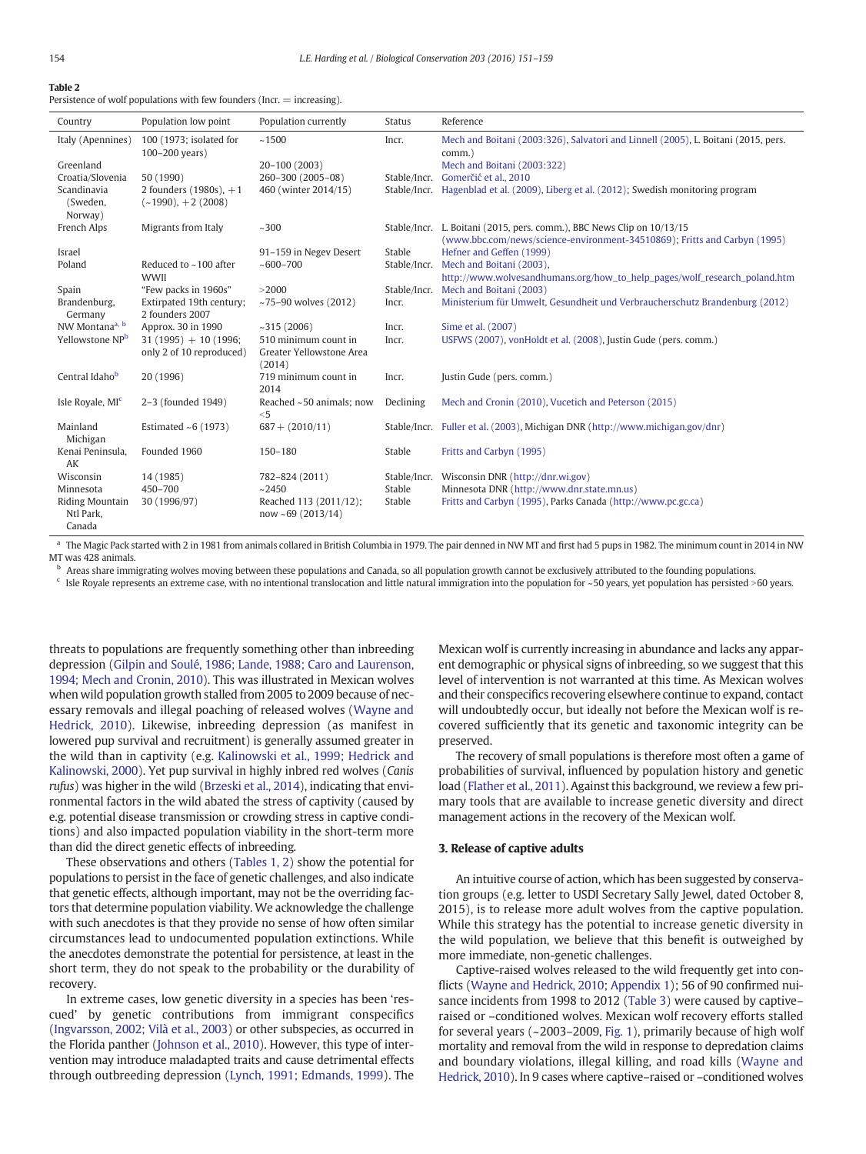## <span id="page-3-0"></span>Table 2

Persistence of wolf populations with few founders (Incr. = increasing).

| Country                                | Population low point                               | Population currently                                       | <b>Status</b> | Reference                                                                                    |
|----------------------------------------|----------------------------------------------------|------------------------------------------------------------|---------------|----------------------------------------------------------------------------------------------|
|                                        |                                                    |                                                            |               |                                                                                              |
| Italy (Apennines)                      | 100 (1973; isolated for<br>100-200 years)          | ~1500                                                      | Incr.         | Mech and Boitani (2003;326), Salvatori and Linnell (2005), L. Boitani (2015, pers.<br>comm.) |
| Greenland                              |                                                    | $20 - 100(2003)$                                           |               | Mech and Boitani (2003:322)                                                                  |
| Croatia/Slovenia                       | 50 (1990)                                          | 260-300 (2005-08)                                          | Stable/Incr.  | Gomerčić et al., 2010                                                                        |
| Scandinavia<br>(Sweden,<br>Norway)     | 2 founders (1980s), $+1$<br>$(-1990)$ , $+2(2008)$ | 460 (winter 2014/15)                                       |               | Stable/Incr. Hagenblad et al. (2009), Liberg et al. (2012); Swedish monitoring program       |
| French Alps                            | Migrants from Italy                                | ~100                                                       |               | Stable/Incr. L. Boitani (2015, pers. comm.), BBC News Clip on 10/13/15                       |
|                                        |                                                    |                                                            |               | (www.bbc.com/news/science-environment-34510869); Fritts and Carbyn (1995)                    |
| Israel                                 |                                                    | 91-159 in Negev Desert                                     | Stable        | Hefner and Geffen (1999)                                                                     |
| Poland                                 | Reduced to $\sim$ 100 after                        | $~100 - 700$                                               | Stable/Incr.  | Mech and Boitani (2003),                                                                     |
|                                        | <b>WWII</b>                                        |                                                            |               | http://www.wolvesandhumans.org/how_to_help_pages/wolf_research_poland.htm                    |
| Spain                                  | "Few packs in 1960s"                               | >2000                                                      | Stable/Incr.  | Mech and Boitani (2003)                                                                      |
| Brandenburg,<br>Germany                | Extirpated 19th century;<br>2 founders 2007        | $~10-75-90$ wolves (2012)                                  | Incr.         | Ministerium für Umwelt, Gesundheit und Verbraucherschutz Brandenburg (2012)                  |
| NW Montana <sup>a, b</sup>             | Approx. 30 in 1990                                 | ~2315~(2006)                                               | Incr.         | Sime et al. (2007)                                                                           |
| Yellowstone NP <sup>b</sup>            | $31(1995) + 10(1996)$<br>only 2 of 10 reproduced)  | 510 minimum count in<br>Greater Yellowstone Area<br>(2014) | Incr.         | USFWS (2007), vonHoldt et al. (2008), Justin Gude (pers. comm.)                              |
| Central Idaho <sup>b</sup>             | 20 (1996)                                          | 719 minimum count in<br>2014                               | Incr.         | Justin Gude (pers. comm.)                                                                    |
| Isle Royale, MIC                       | 2-3 (founded 1949)                                 | Reached $\sim$ 50 animals; now<br>< 5                      | Declining     | Mech and Cronin (2010), Vucetich and Peterson (2015)                                         |
| Mainland<br>Michigan                   | Estimated $~6$ (1973)                              | $687 + (2010/11)$                                          |               | Stable/Incr. Fuller et al. (2003), Michigan DNR (http://www.michigan.gov/dnr)                |
| Kenai Peninsula.<br>AK                 | Founded 1960                                       | 150-180                                                    | Stable        | Fritts and Carbyn (1995)                                                                     |
| Wisconsin                              | 14 (1985)                                          | 782-824 (2011)                                             | Stable/Incr.  | Wisconsin DNR (http://dnr.wi.gov)                                                            |
| Minnesota                              | 450-700                                            | ~2450                                                      | Stable        | Minnesota DNR (http://www.dnr.state.mn.us)                                                   |
| Riding Mountain<br>Ntl Park,<br>Canada | 30 (1996/97)                                       | Reached 113 (2011/12);<br>now ~69 (2013/14)                | Stable        | Fritts and Carbyn (1995), Parks Canada (http://www.pc.gc.ca)                                 |

a The Magic Pack started with 2 in 1981 from animals collared in British Columbia in 1979. The pair denned in NW MT and first had 5 pups in 1982. The minimum count in 2014 in NW MT was 428 animals.

Areas share immigrating wolves moving between these populations and Canada, so all population growth cannot be exclusively attributed to the founding populations.

 $c$  Isle Royale represents an extreme case, with no intentional translocation and little natural immigration into the population for ~50 years, yet population has persisted >60 years.

threats to populations are frequently something other than inbreeding depression [\(Gilpin and Soulé, 1986; Lande, 1988; Caro and Laurenson,](#page-7-0) [1994; Mech and Cronin, 2010](#page-7-0)). This was illustrated in Mexican wolves when wild population growth stalled from 2005 to 2009 because of necessary removals and illegal poaching of released wolves [\(Wayne and](#page-8-0) [Hedrick, 2010](#page-8-0)). Likewise, inbreeding depression (as manifest in lowered pup survival and recruitment) is generally assumed greater in the wild than in captivity (e.g. [Kalinowski et al., 1999; Hedrick and](#page-7-0) [Kalinowski, 2000\)](#page-7-0). Yet pup survival in highly inbred red wolves (Canis rufus) was higher in the wild ([Brzeski et al., 2014](#page-7-0)), indicating that environmental factors in the wild abated the stress of captivity (caused by e.g. potential disease transmission or crowding stress in captive conditions) and also impacted population viability in the short-term more than did the direct genetic effects of inbreeding.

These observations and others ([Tables 1, 2\)](#page-2-0) show the potential for populations to persist in the face of genetic challenges, and also indicate that genetic effects, although important, may not be the overriding factors that determine population viability. We acknowledge the challenge with such anecdotes is that they provide no sense of how often similar circumstances lead to undocumented population extinctions. While the anecdotes demonstrate the potential for persistence, at least in the short term, they do not speak to the probability or the durability of recovery.

In extreme cases, low genetic diversity in a species has been 'rescued' by genetic contributions from immigrant conspecifics [\(Ingvarsson, 2002; Vilà et al., 2003\)](#page-7-0) or other subspecies, as occurred in the Florida panther [\(Johnson et al., 2010](#page-7-0)). However, this type of intervention may introduce maladapted traits and cause detrimental effects through outbreeding depression [\(Lynch, 1991; Edmands, 1999\)](#page-7-0). The Mexican wolf is currently increasing in abundance and lacks any apparent demographic or physical signs of inbreeding, so we suggest that this level of intervention is not warranted at this time. As Mexican wolves and their conspecifics recovering elsewhere continue to expand, contact will undoubtedly occur, but ideally not before the Mexican wolf is recovered sufficiently that its genetic and taxonomic integrity can be preserved.

The recovery of small populations is therefore most often a game of probabilities of survival, influenced by population history and genetic load [\(Flather et al., 2011\)](#page-7-0). Against this background, we review a few primary tools that are available to increase genetic diversity and direct management actions in the recovery of the Mexican wolf.

## 3. Release of captive adults

An intuitive course of action, which has been suggested by conservation groups (e.g. letter to USDI Secretary Sally Jewel, dated October 8, 2015), is to release more adult wolves from the captive population. While this strategy has the potential to increase genetic diversity in the wild population, we believe that this benefit is outweighed by more immediate, non-genetic challenges.

Captive-raised wolves released to the wild frequently get into conflicts [\(Wayne and Hedrick, 2010;](#page-8-0) [Appendix 1\)](#page-6-0); 56 of 90 confirmed nuisance incidents from 1998 to 2012 [\(Table 3](#page-4-0)) were caused by captive– raised or –conditioned wolves. Mexican wolf recovery efforts stalled for several years (~2003–2009, [Fig. 1](#page-1-0)), primarily because of high wolf mortality and removal from the wild in response to depredation claims and boundary violations, illegal killing, and road kills ([Wayne and](#page-8-0) [Hedrick, 2010\)](#page-8-0). In 9 cases where captive–raised or –conditioned wolves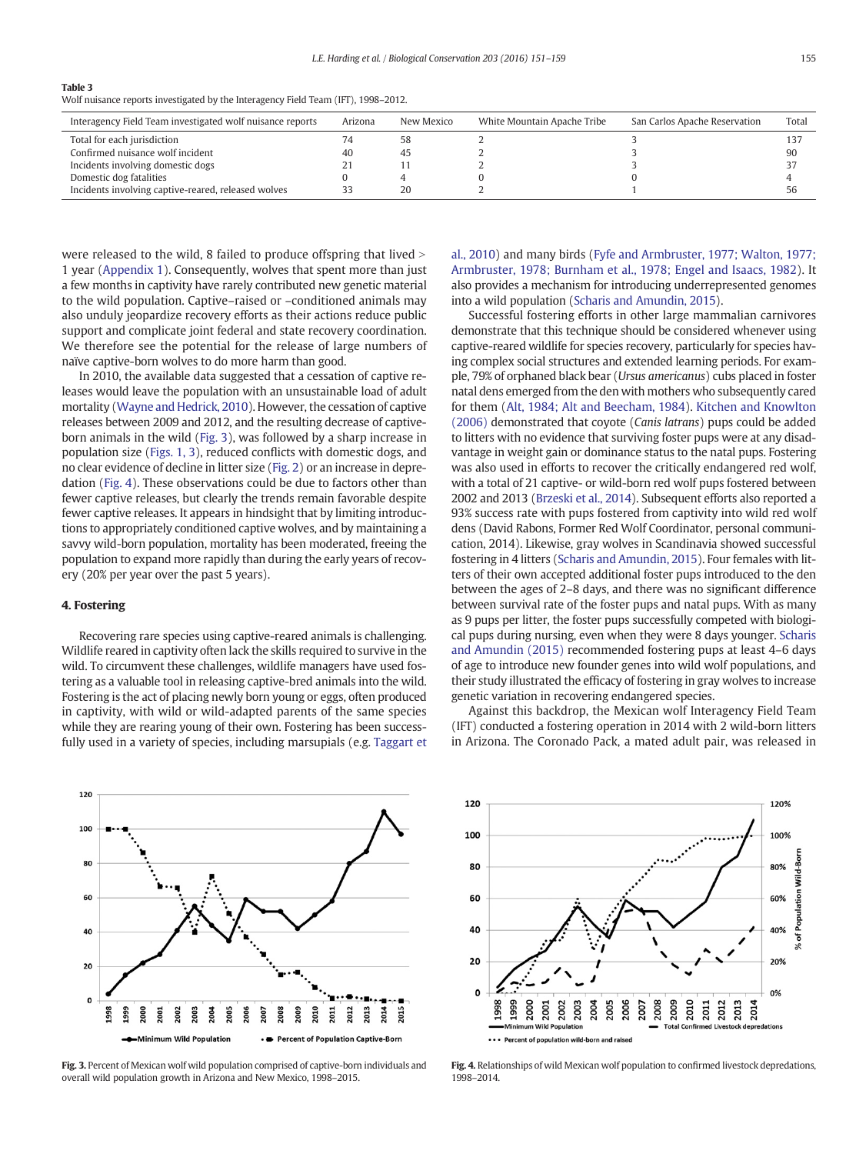<span id="page-4-0"></span>Table 3

Wolf nuisance reports investigated by the Interagency Field Team (IFT), 1998–2012.

| Interagency Field Team investigated wolf nuisance reports | Arizona | New Mexico | White Mountain Apache Tribe | San Carlos Apache Reservation | Total |
|-----------------------------------------------------------|---------|------------|-----------------------------|-------------------------------|-------|
| Total for each jurisdiction                               | 74      | 58         |                             |                               |       |
| Confirmed nuisance wolf incident                          | 40      | 45         |                             |                               | 90    |
| Incidents involving domestic dogs                         |         |            |                             |                               |       |
| Domestic dog fatalities                                   |         |            |                             |                               |       |
| Incidents involving captive-reared, released wolves       |         | 20         |                             |                               | 56    |

were released to the wild, 8 failed to produce offspring that lived  $>$ 1 year ([Appendix 1](#page-6-0)). Consequently, wolves that spent more than just a few months in captivity have rarely contributed new genetic material to the wild population. Captive–raised or –conditioned animals may also unduly jeopardize recovery efforts as their actions reduce public support and complicate joint federal and state recovery coordination. We therefore see the potential for the release of large numbers of naïve captive-born wolves to do more harm than good.

In 2010, the available data suggested that a cessation of captive releases would leave the population with an unsustainable load of adult mortality [\(Wayne and Hedrick, 2010\)](#page-8-0). However, the cessation of captive releases between 2009 and 2012, and the resulting decrease of captiveborn animals in the wild (Fig. 3), was followed by a sharp increase in population size [\(Figs. 1, 3](#page-1-0)), reduced conflicts with domestic dogs, and no clear evidence of decline in litter size [\(Fig. 2\)](#page-1-0) or an increase in depredation (Fig. 4). These observations could be due to factors other than fewer captive releases, but clearly the trends remain favorable despite fewer captive releases. It appears in hindsight that by limiting introductions to appropriately conditioned captive wolves, and by maintaining a savvy wild-born population, mortality has been moderated, freeing the population to expand more rapidly than during the early years of recovery (20% per year over the past 5 years).

## 4. Fostering

Recovering rare species using captive-reared animals is challenging. Wildlife reared in captivity often lack the skills required to survive in the wild. To circumvent these challenges, wildlife managers have used fostering as a valuable tool in releasing captive-bred animals into the wild. Fostering is the act of placing newly born young or eggs, often produced in captivity, with wild or wild-adapted parents of the same species while they are rearing young of their own. Fostering has been successfully used in a variety of species, including marsupials (e.g. [Taggart et](#page-7-0) [al., 2010\)](#page-7-0) and many birds ([Fyfe and Armbruster, 1977; Walton, 1977;](#page-7-0) [Armbruster, 1978; Burnham et al., 1978; Engel and Isaacs, 1982](#page-7-0)). It also provides a mechanism for introducing underrepresented genomes into a wild population ([Scharis and Amundin, 2015](#page-7-0)).

Successful fostering efforts in other large mammalian carnivores demonstrate that this technique should be considered whenever using captive-reared wildlife for species recovery, particularly for species having complex social structures and extended learning periods. For example, 79% of orphaned black bear (Ursus americanus) cubs placed in foster natal dens emerged from the den with mothers who subsequently cared for them [\(Alt, 1984; Alt and Beecham, 1984](#page-6-0)). [Kitchen and Knowlton](#page-7-0) [\(2006\)](#page-7-0) demonstrated that coyote (Canis latrans) pups could be added to litters with no evidence that surviving foster pups were at any disadvantage in weight gain or dominance status to the natal pups. Fostering was also used in efforts to recover the critically endangered red wolf, with a total of 21 captive- or wild-born red wolf pups fostered between 2002 and 2013 ([Brzeski et al., 2014](#page-7-0)). Subsequent efforts also reported a 93% success rate with pups fostered from captivity into wild red wolf dens (David Rabons, Former Red Wolf Coordinator, personal communication, 2014). Likewise, gray wolves in Scandinavia showed successful fostering in 4 litters ([Scharis and Amundin, 2015\)](#page-7-0). Four females with litters of their own accepted additional foster pups introduced to the den between the ages of 2–8 days, and there was no significant difference between survival rate of the foster pups and natal pups. With as many as 9 pups per litter, the foster pups successfully competed with biological pups during nursing, even when they were 8 days younger. [Scharis](#page-7-0) [and Amundin \(2015\)](#page-7-0) recommended fostering pups at least 4–6 days of age to introduce new founder genes into wild wolf populations, and their study illustrated the efficacy of fostering in gray wolves to increase genetic variation in recovering endangered species.

Against this backdrop, the Mexican wolf Interagency Field Team (IFT) conducted a fostering operation in 2014 with 2 wild-born litters in Arizona. The Coronado Pack, a mated adult pair, was released in





Fig. 3. Percent of Mexican wolf wild population comprised of captive-born individuals and overall wild population growth in Arizona and New Mexico, 1998–2015.



Fig. 4. Relationships of wild Mexican wolf population to confirmed livestock depredations, 1998–2014.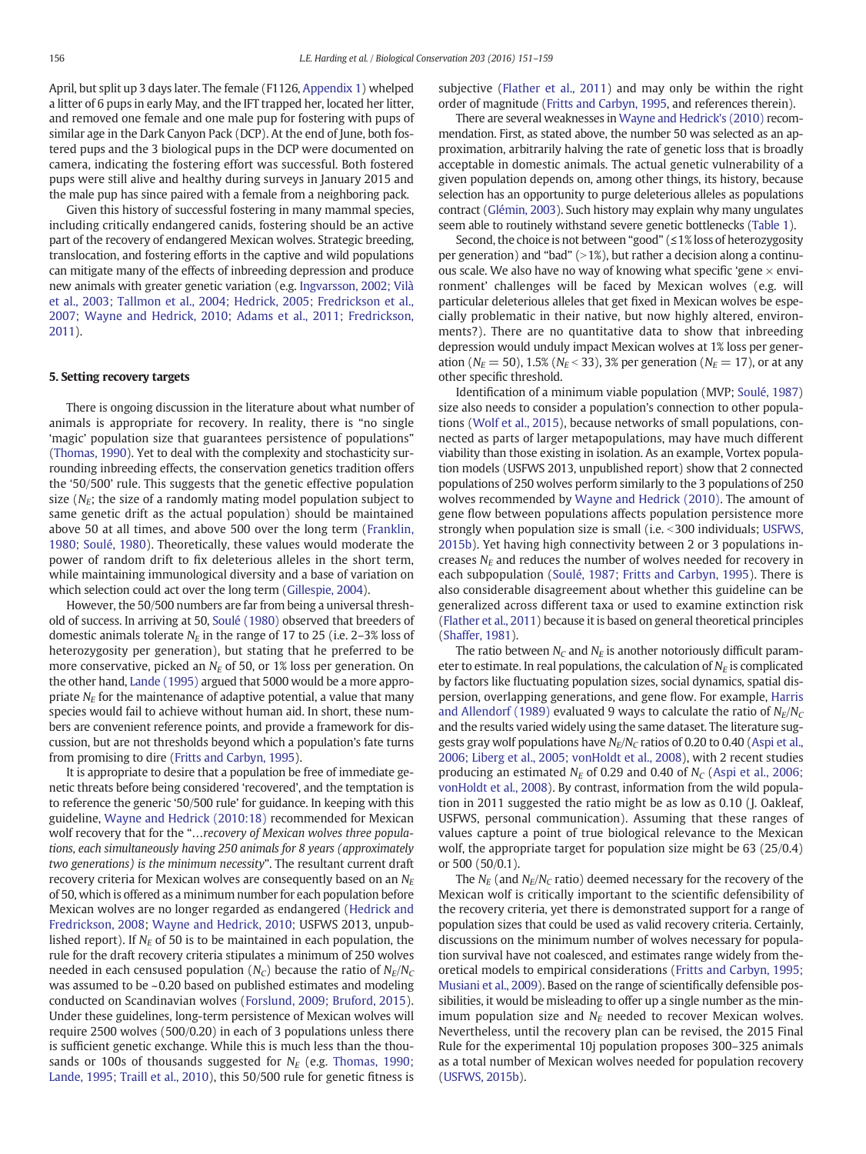April, but split up 3 days later. The female (F1126, [Appendix 1\)](#page-6-0) whelped a litter of 6 pups in early May, and the IFT trapped her, located her litter, and removed one female and one male pup for fostering with pups of similar age in the Dark Canyon Pack (DCP). At the end of June, both fostered pups and the 3 biological pups in the DCP were documented on camera, indicating the fostering effort was successful. Both fostered pups were still alive and healthy during surveys in January 2015 and the male pup has since paired with a female from a neighboring pack.

Given this history of successful fostering in many mammal species, including critically endangered canids, fostering should be an active part of the recovery of endangered Mexican wolves. Strategic breeding, translocation, and fostering efforts in the captive and wild populations can mitigate many of the effects of inbreeding depression and produce new animals with greater genetic variation (e.g. [Ingvarsson, 2002; Vilà](#page-7-0) [et al., 2003; Tallmon et al., 2004; Hedrick, 2005; Fredrickson et al.,](#page-7-0) [2007; Wayne and Hedrick, 2010; Adams et al., 2011; Fredrickson,](#page-7-0) [2011\)](#page-7-0).

## 5. Setting recovery targets

There is ongoing discussion in the literature about what number of animals is appropriate for recovery. In reality, there is "no single 'magic' population size that guarantees persistence of populations" [\(Thomas, 1990\)](#page-7-0). Yet to deal with the complexity and stochasticity surrounding inbreeding effects, the conservation genetics tradition offers the '50/500' rule. This suggests that the genetic effective population size ( $N_E$ ; the size of a randomly mating model population subject to same genetic drift as the actual population) should be maintained above 50 at all times, and above 500 over the long term ([Franklin,](#page-7-0) [1980; Soulé, 1980](#page-7-0)). Theoretically, these values would moderate the power of random drift to fix deleterious alleles in the short term, while maintaining immunological diversity and a base of variation on which selection could act over the long term ([Gillespie, 2004\)](#page-7-0).

However, the 50/500 numbers are far from being a universal threshold of success. In arriving at 50, [Soulé \(1980\)](#page-7-0) observed that breeders of domestic animals tolerate  $N_E$  in the range of 17 to 25 (i.e. 2–3% loss of heterozygosity per generation), but stating that he preferred to be more conservative, picked an  $N_E$  of 50, or 1% loss per generation. On the other hand, [Lande \(1995\)](#page-7-0) argued that 5000 would be a more appropriate  $N_E$  for the maintenance of adaptive potential, a value that many species would fail to achieve without human aid. In short, these numbers are convenient reference points, and provide a framework for discussion, but are not thresholds beyond which a population's fate turns from promising to dire [\(Fritts and Carbyn, 1995\)](#page-7-0).

It is appropriate to desire that a population be free of immediate genetic threats before being considered 'recovered', and the temptation is to reference the generic '50/500 rule' for guidance. In keeping with this guideline, [Wayne and Hedrick \(2010:18\)](#page-8-0) recommended for Mexican wolf recovery that for the "…recovery of Mexican wolves three populations, each simultaneously having 250 animals for 8 years (approximately two generations) is the minimum necessity". The resultant current draft recovery criteria for Mexican wolves are consequently based on an  $N_E$ of 50, which is offered as a minimum number for each population before Mexican wolves are no longer regarded as endangered [\(Hedrick and](#page-7-0) [Fredrickson, 2008;](#page-7-0) [Wayne and Hedrick, 2010;](#page-8-0) USFWS 2013, unpublished report). If  $N_E$  of 50 is to be maintained in each population, the rule for the draft recovery criteria stipulates a minimum of 250 wolves needed in each censused population  $(N_C)$  because the ratio of  $N_E/N_C$ was assumed to be ~0.20 based on published estimates and modeling conducted on Scandinavian wolves ([Forslund, 2009; Bruford, 2015](#page-7-0)). Under these guidelines, long-term persistence of Mexican wolves will require 2500 wolves (500/0.20) in each of 3 populations unless there is sufficient genetic exchange. While this is much less than the thousands or 100s of thousands suggested for  $N_F$  (e.g. [Thomas, 1990;](#page-7-0) [Lande, 1995; Traill et al., 2010\)](#page-7-0), this 50/500 rule for genetic fitness is subjective ([Flather et al., 2011](#page-7-0)) and may only be within the right order of magnitude [\(Fritts and Carbyn, 1995,](#page-7-0) and references therein).

There are several weaknesses in [Wayne and Hedrick's \(2010\)](#page-8-0) recommendation. First, as stated above, the number 50 was selected as an approximation, arbitrarily halving the rate of genetic loss that is broadly acceptable in domestic animals. The actual genetic vulnerability of a given population depends on, among other things, its history, because selection has an opportunity to purge deleterious alleles as populations contract ([Glémin, 2003](#page-7-0)). Such history may explain why many ungulates seem able to routinely withstand severe genetic bottlenecks ([Table 1\)](#page-2-0).

Second, the choice is not between "good" (≤1% loss of heterozygosity per generation) and "bad"  $(>1%)$ , but rather a decision along a continuous scale. We also have no way of knowing what specific 'gene  $\times$  environment' challenges will be faced by Mexican wolves (e.g. will particular deleterious alleles that get fixed in Mexican wolves be especially problematic in their native, but now highly altered, environments?). There are no quantitative data to show that inbreeding depression would unduly impact Mexican wolves at 1% loss per generation ( $N_F = 50$ ), 1.5% ( $N_F < 33$ ), 3% per generation ( $N_F = 17$ ), or at any other specific threshold.

Identification of a minimum viable population (MVP; [Soulé, 1987](#page-7-0)) size also needs to consider a population's connection to other populations [\(Wolf et al., 2015\)](#page-8-0), because networks of small populations, connected as parts of larger metapopulations, may have much different viability than those existing in isolation. As an example, Vortex population models (USFWS 2013, unpublished report) show that 2 connected populations of 250 wolves perform similarly to the 3 populations of 250 wolves recommended by [Wayne and Hedrick \(2010\)](#page-8-0). The amount of gene flow between populations affects population persistence more strongly when population size is small (i.e. < 300 individuals; [USFWS,](#page-8-0) [2015b\)](#page-8-0). Yet having high connectivity between 2 or 3 populations increases  $N_E$  and reduces the number of wolves needed for recovery in each subpopulation [\(Soulé, 1987; Fritts and Carbyn, 1995](#page-7-0)). There is also considerable disagreement about whether this guideline can be generalized across different taxa or used to examine extinction risk [\(Flather et al., 2011](#page-7-0)) because it is based on general theoretical principles [\(Shaffer, 1981\)](#page-7-0).

The ratio between  $N_c$  and  $N_E$  is another notoriously difficult parameter to estimate. In real populations, the calculation of  $N_F$  is complicated by factors like fluctuating population sizes, social dynamics, spatial dispersion, overlapping generations, and gene flow. For example, [Harris](#page-7-0) [and Allendorf \(1989\)](#page-7-0) evaluated 9 ways to calculate the ratio of  $N_F/N_C$ and the results varied widely using the same dataset. The literature suggests gray wolf populations have  $N_F/N_C$  ratios of 0.20 to 0.40 [\(Aspi et al.,](#page-6-0) [2006; Liberg et al., 2005; vonHoldt et al., 2008](#page-6-0)), with 2 recent studies producing an estimated  $N_F$  of 0.29 and 0.40 of  $N_C$  ([Aspi et al., 2006;](#page-6-0) [vonHoldt et al., 2008\)](#page-6-0). By contrast, information from the wild population in 2011 suggested the ratio might be as low as 0.10 (J. Oakleaf, USFWS, personal communication). Assuming that these ranges of values capture a point of true biological relevance to the Mexican wolf, the appropriate target for population size might be 63 (25/0.4) or 500 (50/0.1).

The  $N_E$  (and  $N_E/N_C$  ratio) deemed necessary for the recovery of the Mexican wolf is critically important to the scientific defensibility of the recovery criteria, yet there is demonstrated support for a range of population sizes that could be used as valid recovery criteria. Certainly, discussions on the minimum number of wolves necessary for population survival have not coalesced, and estimates range widely from theoretical models to empirical considerations ([Fritts and Carbyn, 1995;](#page-7-0) [Musiani et al., 2009\)](#page-7-0). Based on the range of scientifically defensible possibilities, it would be misleading to offer up a single number as the minimum population size and  $N_E$  needed to recover Mexican wolves. Nevertheless, until the recovery plan can be revised, the 2015 Final Rule for the experimental 10j population proposes 300–325 animals as a total number of Mexican wolves needed for population recovery [\(USFWS, 2015b\)](#page-8-0).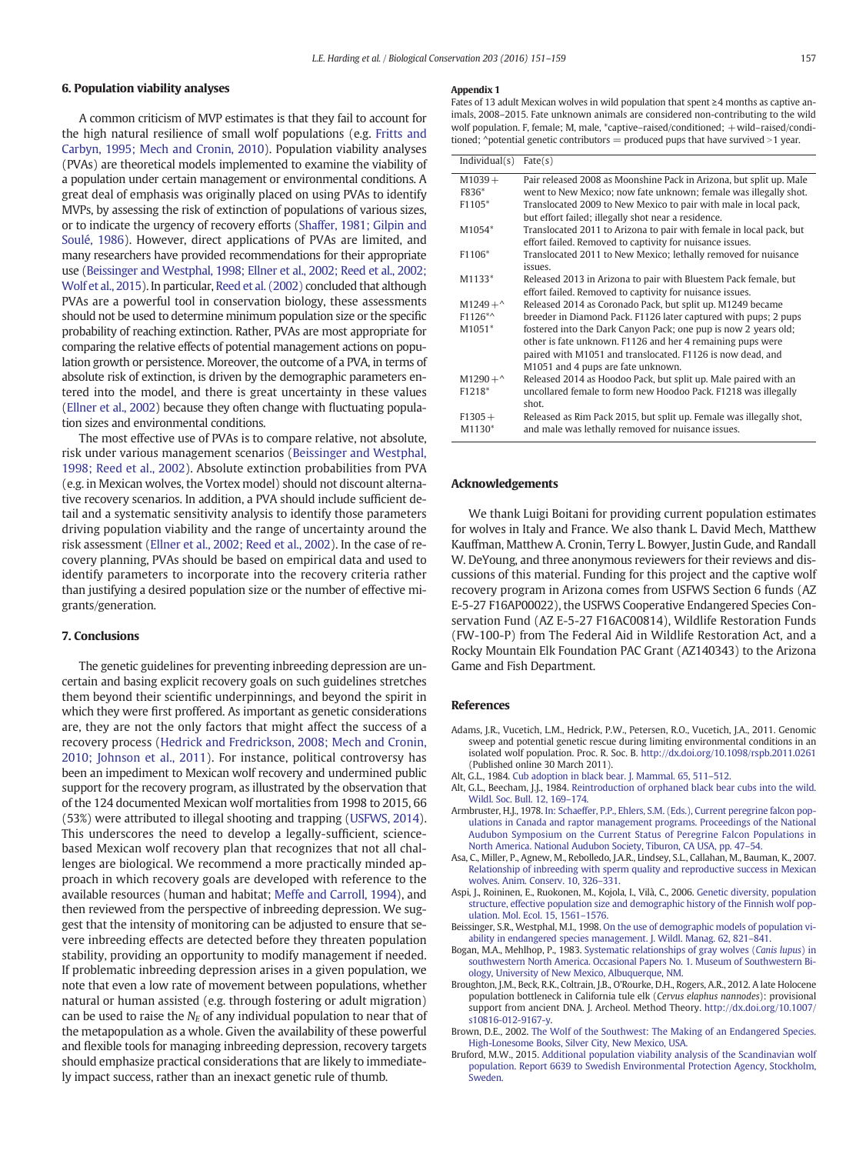## <span id="page-6-0"></span>6. Population viability analyses

A common criticism of MVP estimates is that they fail to account for the high natural resilience of small wolf populations (e.g. [Fritts and](#page-7-0) [Carbyn, 1995; Mech and Cronin, 2010\)](#page-7-0). Population viability analyses (PVAs) are theoretical models implemented to examine the viability of a population under certain management or environmental conditions. A great deal of emphasis was originally placed on using PVAs to identify MVPs, by assessing the risk of extinction of populations of various sizes, or to indicate the urgency of recovery efforts ([Shaffer, 1981; Gilpin and](#page-7-0) [Soulé, 1986](#page-7-0)). However, direct applications of PVAs are limited, and many researchers have provided recommendations for their appropriate use (Beissinger and Westphal, 1998; Ellner et al., 2002; Reed et al., 2002; Wolf et al., 2015). In particular, [Reed et al. \(2002\)](#page-7-0) concluded that although PVAs are a powerful tool in conservation biology, these assessments should not be used to determine minimum population size or the specific probability of reaching extinction. Rather, PVAs are most appropriate for comparing the relative effects of potential management actions on population growth or persistence. Moreover, the outcome of a PVA, in terms of absolute risk of extinction, is driven by the demographic parameters entered into the model, and there is great uncertainty in these values [\(Ellner et al., 2002\)](#page-7-0) because they often change with fluctuating population sizes and environmental conditions.

The most effective use of PVAs is to compare relative, not absolute, risk under various management scenarios (Beissinger and Westphal, 1998; Reed et al., 2002). Absolute extinction probabilities from PVA (e.g. in Mexican wolves, the Vortex model) should not discount alternative recovery scenarios. In addition, a PVA should include sufficient detail and a systematic sensitivity analysis to identify those parameters driving population viability and the range of uncertainty around the risk assessment [\(Ellner et al., 2002; Reed et al., 2002](#page-7-0)). In the case of recovery planning, PVAs should be based on empirical data and used to identify parameters to incorporate into the recovery criteria rather than justifying a desired population size or the number of effective migrants/generation.

## 7. Conclusions

The genetic guidelines for preventing inbreeding depression are uncertain and basing explicit recovery goals on such guidelines stretches them beyond their scientific underpinnings, and beyond the spirit in which they were first proffered. As important as genetic considerations are, they are not the only factors that might affect the success of a recovery process [\(Hedrick and Fredrickson, 2008; Mech and Cronin,](#page-7-0) [2010; Johnson et al., 2011\)](#page-7-0). For instance, political controversy has been an impediment to Mexican wolf recovery and undermined public support for the recovery program, as illustrated by the observation that of the 124 documented Mexican wolf mortalities from 1998 to 2015, 66 (53%) were attributed to illegal shooting and trapping ([USFWS, 2014](#page-7-0)). This underscores the need to develop a legally-sufficient, sciencebased Mexican wolf recovery plan that recognizes that not all challenges are biological. We recommend a more practically minded approach in which recovery goals are developed with reference to the available resources (human and habitat; [Meffe and Carroll, 1994\)](#page-7-0), and then reviewed from the perspective of inbreeding depression. We suggest that the intensity of monitoring can be adjusted to ensure that severe inbreeding effects are detected before they threaten population stability, providing an opportunity to modify management if needed. If problematic inbreeding depression arises in a given population, we note that even a low rate of movement between populations, whether natural or human assisted (e.g. through fostering or adult migration) can be used to raise the  $N_E$  of any individual population to near that of the metapopulation as a whole. Given the availability of these powerful and flexible tools for managing inbreeding depression, recovery targets should emphasize practical considerations that are likely to immediately impact success, rather than an inexact genetic rule of thumb.

### Appendix 1

Fates of 13 adult Mexican wolves in wild population that spent ≥4 months as captive animals, 2008–2015. Fate unknown animals are considered non-contributing to the wild wolf population. F, female; M, male, \*captive–raised/conditioned; +wild–raised/conditioned;  $\gamma$  potential genetic contributors = produced pups that have survived >1 year.

| Indivial(s)         | Fate(s)                                                                                                                                                                                                                           |
|---------------------|-----------------------------------------------------------------------------------------------------------------------------------------------------------------------------------------------------------------------------------|
| $M1039+$            | Pair released 2008 as Moonshine Pack in Arizona, but split up. Male                                                                                                                                                               |
| F836*               | went to New Mexico; now fate unknown; female was illegally shot.                                                                                                                                                                  |
| F1105*              | Translocated 2009 to New Mexico to pair with male in local pack,<br>but effort failed; illegally shot near a residence.                                                                                                           |
| M1054*              | Translocated 2011 to Arizona to pair with female in local pack, but<br>effort failed. Removed to captivity for nuisance issues.                                                                                                   |
| F1106*              | Translocated 2011 to New Mexico; lethally removed for nuisance<br>issues.                                                                                                                                                         |
| M1133*              | Released 2013 in Arizona to pair with Bluestem Pack female, but<br>effort failed. Removed to captivity for nuisance issues.                                                                                                       |
| $M1249 + ^{\wedge}$ | Released 2014 as Coronado Pack, but split up. M1249 became                                                                                                                                                                        |
| F1126*^             | breeder in Diamond Pack, F1126 later captured with pups; 2 pups                                                                                                                                                                   |
| M1051*              | fostered into the Dark Canyon Pack; one pup is now 2 years old;<br>other is fate unknown, F1126 and her 4 remaining pups were<br>paired with M1051 and translocated. F1126 is now dead, and<br>M1051 and 4 pups are fate unknown. |
| $M1290 + ^{\wedge}$ | Released 2014 as Hoodoo Pack, but split up. Male paired with an                                                                                                                                                                   |
| F1218*              | uncollared female to form new Hoodoo Pack. F1218 was illegally<br>shot.                                                                                                                                                           |
| $F1305+$            | Released as Rim Pack 2015, but split up. Female was illegally shot,                                                                                                                                                               |
| M1130*              | and male was lethally removed for nuisance issues.                                                                                                                                                                                |

## Acknowledgements

We thank Luigi Boitani for providing current population estimates for wolves in Italy and France. We also thank L. David Mech, Matthew Kauffman, Matthew A. Cronin, Terry L. Bowyer, Justin Gude, and Randall W. DeYoung, and three anonymous reviewers for their reviews and discussions of this material. Funding for this project and the captive wolf recovery program in Arizona comes from USFWS Section 6 funds (AZ E-5-27 F16AP00022), the USFWS Cooperative Endangered Species Conservation Fund (AZ E-5-27 F16AC00814), Wildlife Restoration Funds (FW-100-P) from The Federal Aid in Wildlife Restoration Act, and a Rocky Mountain Elk Foundation PAC Grant (AZ140343) to the Arizona Game and Fish Department.

### References

- Adams, J.R., Vucetich, L.M., Hedrick, P.W., Petersen, R.O., Vucetich, J.A., 2011. Genomic sweep and potential genetic rescue during limiting environmental conditions in an isolated wolf population. Proc. R. Soc. B. http://dx.doi.org[/10.1098/rspb.2011.0261](http://dx.doi.org/10.1098/rspb.2011.0261) (Published online 30 March 2011).
- Alt, G.L., 1984. [Cub adoption in black bear. J. Mammal. 65, 511](http://refhub.elsevier.com/S0006-3207(16)30425-6/rf0010)–512.
- Alt, G.L., Beecham, J.J., 1984. [Reintroduction of orphaned black bear cubs into the wild.](http://refhub.elsevier.com/S0006-3207(16)30425-6/rf0015) [Wildl. Soc. Bull. 12, 169](http://refhub.elsevier.com/S0006-3207(16)30425-6/rf0015)–174.
- Armbruster, H.J., 1978. [In: Schaeffer, P.P., Ehlers, S.M. \(Eds.\), Current peregrine falcon pop](http://refhub.elsevier.com/S0006-3207(16)30425-6/rf0020)[ulations in Canada and raptor management programs. Proceedings of the National](http://refhub.elsevier.com/S0006-3207(16)30425-6/rf0020) [Audubon Symposium on the Current Status of Peregrine Falcon Populations in](http://refhub.elsevier.com/S0006-3207(16)30425-6/rf0020) [North America. National Audubon Society, Tiburon, CA USA, pp. 47](http://refhub.elsevier.com/S0006-3207(16)30425-6/rf0020)–54.
- Asa, C., Miller, P., Agnew, M., Rebolledo, J.A.R., Lindsey, S.L., Callahan, M., Bauman, K., 2007. [Relationship of inbreeding with sperm quality and reproductive success in Mexican](http://refhub.elsevier.com/S0006-3207(16)30425-6/rf0025) [wolves. Anim. Conserv. 10, 326](http://refhub.elsevier.com/S0006-3207(16)30425-6/rf0025)–331.
- Aspi, J., Roininen, E., Ruokonen, M., Kojola, I., Vilà, C., 2006. [Genetic diversity, population](http://refhub.elsevier.com/S0006-3207(16)30425-6/rf0030) [structure, effective population size and demographic history of the Finnish wolf pop](http://refhub.elsevier.com/S0006-3207(16)30425-6/rf0030)[ulation. Mol. Ecol. 15, 1561](http://refhub.elsevier.com/S0006-3207(16)30425-6/rf0030)–1576.
- Beissinger, S.R., Westphal, M.I., 1998. [On the use of demographic models of population vi](http://refhub.elsevier.com/S0006-3207(16)30425-6/rf0035)[ability in endangered species management. J. Wildl. Manag. 62, 821](http://refhub.elsevier.com/S0006-3207(16)30425-6/rf0035)–841.
- Bogan, M.A., Mehlhop, P., 1983. [Systematic relationships of gray wolves \(](http://refhub.elsevier.com/S0006-3207(16)30425-6/rf0040)Canis lupus) in [southwestern North America. Occasional Papers No. 1. Museum of Southwestern Bi](http://refhub.elsevier.com/S0006-3207(16)30425-6/rf0040)[ology, University of New Mexico, Albuquerque, NM.](http://refhub.elsevier.com/S0006-3207(16)30425-6/rf0040)
- Broughton, J.M., Beck, R.K., Coltrain, J.B., O'Rourke, D.H., Rogers, A.R., 2012. A late Holocene population bottleneck in California tule elk (Cervus elaphus nannodes): provisional support from ancient DNA. J. Archeol. Method Theory. http://dx.doi.org/[10.1007/](http://dx.doi.org/10.1007/s10816-012-9167-y) [s10816-012-9167-y.](http://dx.doi.org/10.1007/s10816-012-9167-y)
- Brown, D.E., 2002. [The Wolf of the Southwest: The Making of an Endangered Species.](http://refhub.elsevier.com/S0006-3207(16)30425-6/rf0050) [High-Lonesome Books, Silver City, New Mexico, USA.](http://refhub.elsevier.com/S0006-3207(16)30425-6/rf0050)
- Bruford, M.W., 2015. [Additional population viability analysis of the Scandinavian wolf](http://refhub.elsevier.com/S0006-3207(16)30425-6/rf0055) [population. Report 6639 to Swedish Environmental Protection Agency, Stockholm,](http://refhub.elsevier.com/S0006-3207(16)30425-6/rf0055) [Sweden.](http://refhub.elsevier.com/S0006-3207(16)30425-6/rf0055)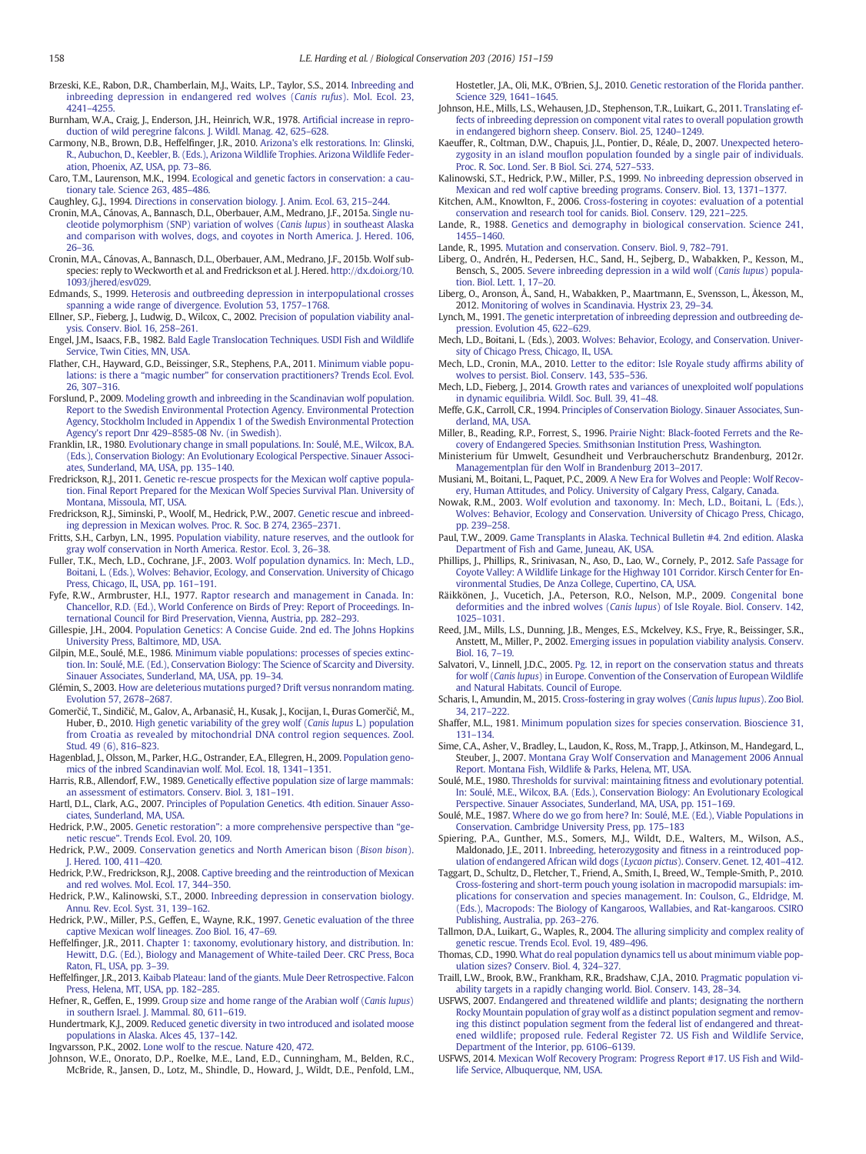- <span id="page-7-0"></span>Brzeski, K.E., Rabon, D.R., Chamberlain, M.J., Waits, L.P., Taylor, S.S., 2014. [Inbreeding and](http://refhub.elsevier.com/S0006-3207(16)30425-6/rf0060) [inbreeding depression in endangered red wolves \(](http://refhub.elsevier.com/S0006-3207(16)30425-6/rf0060)Canis rufus). Mol. Ecol. 23, 4241–[4255.](http://refhub.elsevier.com/S0006-3207(16)30425-6/rf0060)
- Burnham, W.A., Craig, J., Enderson, J.H., Heinrich, W.R., 1978. Artifi[cial increase in repro](http://refhub.elsevier.com/S0006-3207(16)30425-6/rf0065)[duction of wild peregrine falcons. J. Wildl. Manag. 42, 625](http://refhub.elsevier.com/S0006-3207(16)30425-6/rf0065)–628.
- Carmony, N.B., Brown, D.B., Heffelfinger, J.R., 2010. [Arizona's elk restorations. In: Glinski,](http://refhub.elsevier.com/S0006-3207(16)30425-6/rf0070) [R., Aubuchon, D., Keebler, B. \(Eds.\), Arizona Wildlife Trophies. Arizona Wildlife Feder](http://refhub.elsevier.com/S0006-3207(16)30425-6/rf0070)[ation, Phoenix, AZ, USA, pp. 73](http://refhub.elsevier.com/S0006-3207(16)30425-6/rf0070)–86.
- Caro, T.M., Laurenson, M.K., 1994. [Ecological and genetic factors in conservation: a cau](http://refhub.elsevier.com/S0006-3207(16)30425-6/rf0075)[tionary tale. Science 263, 485](http://refhub.elsevier.com/S0006-3207(16)30425-6/rf0075)–486.
- Caughley, G.J., 1994. [Directions in conservation biology. J. Anim. Ecol. 63, 215](http://refhub.elsevier.com/S0006-3207(16)30425-6/rf0080)–244.
- Cronin, M.A., Cánovas, A., Bannasch, D.L., Oberbauer, A.M., Medrano, J.F., 2015a. [Single nu](http://refhub.elsevier.com/S0006-3207(16)30425-6/rf0085)[cleotide polymorphism \(SNP\) variation of wolves \(](http://refhub.elsevier.com/S0006-3207(16)30425-6/rf0085)Canis lupus) in southeast Alaska [and comparison with wolves, dogs, and coyotes in North America. J. Hered. 106,](http://refhub.elsevier.com/S0006-3207(16)30425-6/rf0085) [26](http://refhub.elsevier.com/S0006-3207(16)30425-6/rf0085)–36.
- Cronin, M.A., Cánovas, A., Bannasch, D.L., Oberbauer, A.M., Medrano, J.F., 2015b. Wolf subspecies: reply to Weckworth et al. and Fredrickson et al. J. Hered. http://dx.doi.org[/10.](http://dx.doi.org/10.1093/jhered/esv029) [1093/jhered/esv029.](http://dx.doi.org/10.1093/jhered/esv029)
- Edmands, S., 1999. [Heterosis and outbreeding depression in interpopulational crosses](http://refhub.elsevier.com/S0006-3207(16)30425-6/rf0095) [spanning a wide range of divergence. Evolution 53, 1757](http://refhub.elsevier.com/S0006-3207(16)30425-6/rf0095)–1768.
- Ellner, S.P., Fieberg, J., Ludwig, D., Wilcox, C., 2002. [Precision of population viability anal](http://refhub.elsevier.com/S0006-3207(16)30425-6/rf0100)[ysis. Conserv. Biol. 16, 258](http://refhub.elsevier.com/S0006-3207(16)30425-6/rf0100)–261.
- Engel, J.M., Isaacs, F.B., 1982. [Bald Eagle Translocation Techniques. USDI Fish and Wildlife](http://refhub.elsevier.com/S0006-3207(16)30425-6/rf0105) [Service, Twin Cities, MN, USA](http://refhub.elsevier.com/S0006-3207(16)30425-6/rf0105).
- Flather, C.H., Hayward, G.D., Beissinger, S.R., Stephens, P.A., 2011. [Minimum viable popu](http://refhub.elsevier.com/S0006-3207(16)30425-6/rf0110)lations: is there a "magic number" [for conservation practitioners? Trends Ecol. Evol.](http://refhub.elsevier.com/S0006-3207(16)30425-6/rf0110) [26, 307](http://refhub.elsevier.com/S0006-3207(16)30425-6/rf0110)–316.
- Forslund, P., 2009. [Modeling growth and inbreeding in the Scandinavian wolf population.](http://refhub.elsevier.com/S0006-3207(16)30425-6/rf0115) [Report to the Swedish Environmental Protection Agency. Environmental Protection](http://refhub.elsevier.com/S0006-3207(16)30425-6/rf0115) [Agency, Stockholm Included in Appendix 1 of the Swedish Environmental Protection](http://refhub.elsevier.com/S0006-3207(16)30425-6/rf0115) Agency's report Dnr 429–[8585-08 Nv. \(in Swedish\)](http://refhub.elsevier.com/S0006-3207(16)30425-6/rf0115).
- Franklin, I.R., 1980. [Evolutionary change in small populations. In: Soulé, M.E., Wilcox, B.A.](http://refhub.elsevier.com/S0006-3207(16)30425-6/rf0120) [\(Eds.\), Conservation Biology: An Evolutionary Ecological Perspective. Sinauer Associ](http://refhub.elsevier.com/S0006-3207(16)30425-6/rf0120)[ates, Sunderland, MA, USA, pp. 135](http://refhub.elsevier.com/S0006-3207(16)30425-6/rf0120)–140.
- Fredrickson, R.J., 2011. [Genetic re-rescue prospects for the Mexican wolf captive popula](http://refhub.elsevier.com/S0006-3207(16)30425-6/rf0125)[tion. Final Report Prepared for the Mexican Wolf Species Survival Plan. University of](http://refhub.elsevier.com/S0006-3207(16)30425-6/rf0125) [Montana, Missoula, MT, USA.](http://refhub.elsevier.com/S0006-3207(16)30425-6/rf0125)
- Fredrickson, R.J., Siminski, P., Woolf, M., Hedrick, P.W., 2007. [Genetic rescue and inbreed](http://refhub.elsevier.com/S0006-3207(16)30425-6/rf0130)[ing depression in Mexican wolves. Proc. R. Soc. B 274, 2365](http://refhub.elsevier.com/S0006-3207(16)30425-6/rf0130)–2371.
- Fritts, S.H., Carbyn, L.N., 1995. [Population viability, nature reserves, and the outlook for](http://refhub.elsevier.com/S0006-3207(16)30425-6/rf0135) [gray wolf conservation in North America. Restor. Ecol. 3, 26](http://refhub.elsevier.com/S0006-3207(16)30425-6/rf0135)–38.
- Fuller, T.K., Mech, L.D., Cochrane, J.F., 2003. [Wolf population dynamics. In: Mech, L.D.,](http://refhub.elsevier.com/S0006-3207(16)30425-6/rf0140) [Boitani, L. \(Eds.\), Wolves: Behavior, Ecology, and Conservation. University of Chicago](http://refhub.elsevier.com/S0006-3207(16)30425-6/rf0140) [Press, Chicago, IL, USA, pp. 161](http://refhub.elsevier.com/S0006-3207(16)30425-6/rf0140)–191.
- Fyfe, R.W., Armbruster, H.I., 1977. [Raptor research and management in Canada. In:](http://refhub.elsevier.com/S0006-3207(16)30425-6/rf0145) [Chancellor, R.D. \(Ed.\), World Conference on Birds of Prey: Report of Proceedings. In](http://refhub.elsevier.com/S0006-3207(16)30425-6/rf0145)[ternational Council for Bird Preservation, Vienna, Austria, pp. 282](http://refhub.elsevier.com/S0006-3207(16)30425-6/rf0145)–293.
- Gillespie, J.H., 2004. [Population Genetics: A Concise Guide. 2nd ed. The Johns Hopkins](http://refhub.elsevier.com/S0006-3207(16)30425-6/rf0150) [University Press, Baltimore, MD, USA.](http://refhub.elsevier.com/S0006-3207(16)30425-6/rf0150)
- Gilpin, M.E., Soulé, M.E., 1986. [Minimum viable populations: processes of species extinc](http://refhub.elsevier.com/S0006-3207(16)30425-6/rf0155)[tion. In: Soulé, M.E. \(Ed.\), Conservation Biology: The Science of Scarcity and Diversity.](http://refhub.elsevier.com/S0006-3207(16)30425-6/rf0155) [Sinauer Associates, Sunderland, MA, USA, pp. 19](http://refhub.elsevier.com/S0006-3207(16)30425-6/rf0155)–34.
- Glémin, S., 2003. [How are deleterious mutations purged? Drift versus nonrandom mating.](http://refhub.elsevier.com/S0006-3207(16)30425-6/rf0160) [Evolution 57, 2678](http://refhub.elsevier.com/S0006-3207(16)30425-6/rf0160)–2687.
- Gomerčić, T., Sindičić, M., Galov, A., Arbanasić, H., Kusak, J., Kocijan, I., Đuras Gomerčić, M., Huber, Đ., 2010. [High genetic variability of the grey wolf \(](http://refhub.elsevier.com/S0006-3207(16)30425-6/rf0165)Canis lupus L.) population [from Croatia as revealed by mitochondrial DNA control region sequences. Zool.](http://refhub.elsevier.com/S0006-3207(16)30425-6/rf0165) [Stud. 49 \(6\), 816](http://refhub.elsevier.com/S0006-3207(16)30425-6/rf0165)–823.
- Hagenblad, J., Olsson, M., Parker, H.G., Ostrander, E.A., Ellegren, H., 2009. [Population geno](http://refhub.elsevier.com/S0006-3207(16)30425-6/rf0170)[mics of the inbred Scandinavian wolf. Mol. Ecol. 18, 1341](http://refhub.elsevier.com/S0006-3207(16)30425-6/rf0170)–1351.
- Harris, R.B., Allendorf, F.W., 1989. [Genetically effective population size of large mammals:](http://refhub.elsevier.com/S0006-3207(16)30425-6/rf0175) [an assessment of estimators. Conserv. Biol. 3, 181](http://refhub.elsevier.com/S0006-3207(16)30425-6/rf0175)–191.
- Hartl, D.L., Clark, A.G., 2007. [Principles of Population Genetics. 4th edition. Sinauer Asso](http://refhub.elsevier.com/S0006-3207(16)30425-6/rf0180)[ciates, Sunderland, MA, USA.](http://refhub.elsevier.com/S0006-3207(16)30425-6/rf0180)
- Hedrick, P.W., 2005. Genetic restoration"[: a more comprehensive perspective than](http://refhub.elsevier.com/S0006-3207(16)30425-6/rf0185) "genetic rescue"[. Trends Ecol. Evol. 20, 109](http://refhub.elsevier.com/S0006-3207(16)30425-6/rf0185).
- Hedrick, P.W., 2009. [Conservation genetics and North American bison \(](http://refhub.elsevier.com/S0006-3207(16)30425-6/rf0190)Bison bison). [J. Hered. 100, 411](http://refhub.elsevier.com/S0006-3207(16)30425-6/rf0190)–420.
- Hedrick, P.W., Fredrickson, R.J., 2008. [Captive breeding and the reintroduction of Mexican](http://refhub.elsevier.com/S0006-3207(16)30425-6/rf0195) [and red wolves. Mol. Ecol. 17, 344](http://refhub.elsevier.com/S0006-3207(16)30425-6/rf0195)–350.
- Hedrick, P.W., Kalinowski, S.T., 2000. [Inbreeding depression in conservation biology.](http://refhub.elsevier.com/S0006-3207(16)30425-6/rf0200) [Annu. Rev. Ecol. Syst. 31, 139](http://refhub.elsevier.com/S0006-3207(16)30425-6/rf0200)–162.
- Hedrick, P.W., Miller, P.S., Geffen, E., Wayne, R.K., 1997. [Genetic evaluation of the three](http://refhub.elsevier.com/S0006-3207(16)30425-6/rf0205) [captive Mexican wolf lineages. Zoo Biol. 16, 47](http://refhub.elsevier.com/S0006-3207(16)30425-6/rf0205)–69.
- Heffelfinger, J.R., 2011. [Chapter 1: taxonomy, evolutionary history, and distribution. In:](http://refhub.elsevier.com/S0006-3207(16)30425-6/rf0210) [Hewitt, D.G. \(Ed.\), Biology and Management of White-tailed Deer. CRC Press, Boca](http://refhub.elsevier.com/S0006-3207(16)30425-6/rf0210) [Raton, FL, USA, pp. 3](http://refhub.elsevier.com/S0006-3207(16)30425-6/rf0210)–39.
- Heffelfinger, J.R., 2013. [Kaibab Plateau: land of the giants. Mule Deer Retrospective. Falcon](http://refhub.elsevier.com/S0006-3207(16)30425-6/rf0215) [Press, Helena, MT, USA, pp. 182](http://refhub.elsevier.com/S0006-3207(16)30425-6/rf0215)–285.
- Hefner, R., Geffen, E., 1999. [Group size and home range of the Arabian wolf \(](http://refhub.elsevier.com/S0006-3207(16)30425-6/rf0220)Canis lupus) [in southern Israel. J. Mammal. 80, 611](http://refhub.elsevier.com/S0006-3207(16)30425-6/rf0220)–619.
- Hundertmark, K.J., 2009. [Reduced genetic diversity in two introduced and isolated moose](http://refhub.elsevier.com/S0006-3207(16)30425-6/rf0225) [populations in Alaska. Alces 45, 137](http://refhub.elsevier.com/S0006-3207(16)30425-6/rf0225)–142.
- Ingvarsson, P.K., 2002. [Lone wolf to the rescue. Nature 420, 472.](http://refhub.elsevier.com/S0006-3207(16)30425-6/rf0230)
- Johnson, W.E., Onorato, D.P., Roelke, M.E., Land, E.D., Cunningham, M., Belden, R.C., McBride, R., Jansen, D., Lotz, M., Shindle, D., Howard, J., Wildt, D.E., Penfold, L.M.,

Hostetler, J.A., Oli, M.K., O'Brien, S.J., 2010. [Genetic restoration of the Florida panther.](http://refhub.elsevier.com/S0006-3207(16)30425-6/rf0235) [Science 329, 1641](http://refhub.elsevier.com/S0006-3207(16)30425-6/rf0235)–1645.

- Johnson, H.E., Mills, L.S., Wehausen, J.D., Stephenson, T.R., Luikart, G., 2011. [Translating ef](http://refhub.elsevier.com/S0006-3207(16)30425-6/rf0240)[fects of inbreeding depression on component vital rates to overall population growth](http://refhub.elsevier.com/S0006-3207(16)30425-6/rf0240) [in endangered bighorn sheep. Conserv. Biol. 25, 1240](http://refhub.elsevier.com/S0006-3207(16)30425-6/rf0240)–1249.
- Kaeuffer, R., Coltman, D.W., Chapuis, J.L., Pontier, D., Réale, D., 2007. [Unexpected hetero](http://refhub.elsevier.com/S0006-3207(16)30425-6/rf0245)zygosity in an island moufl[on population founded by a single pair of individuals.](http://refhub.elsevier.com/S0006-3207(16)30425-6/rf0245) [Proc. R. Soc. Lond. Ser. B Biol. Sci. 274, 527](http://refhub.elsevier.com/S0006-3207(16)30425-6/rf0245)–533.
- Kalinowski, S.T., Hedrick, P.W., Miller, P.S., 1999. [No inbreeding depression observed in](http://refhub.elsevier.com/S0006-3207(16)30425-6/rf0250) [Mexican and red wolf captive breeding programs. Conserv. Biol. 13, 1371](http://refhub.elsevier.com/S0006-3207(16)30425-6/rf0250)–1377.
- Kitchen, A.M., Knowlton, F., 2006. [Cross-fostering in coyotes: evaluation of a potential](http://refhub.elsevier.com/S0006-3207(16)30425-6/rf0255) [conservation and research tool for canids. Biol. Conserv. 129, 221](http://refhub.elsevier.com/S0006-3207(16)30425-6/rf0255)–225.
- Lande, R., 1988. [Genetics and demography in biological conservation. Science 241,](http://refhub.elsevier.com/S0006-3207(16)30425-6/rf0260) 1455–[1460.](http://refhub.elsevier.com/S0006-3207(16)30425-6/rf0260)
- Lande, R., 1995. [Mutation and conservation. Conserv. Biol. 9, 782](http://refhub.elsevier.com/S0006-3207(16)30425-6/rf0265)–791.
- Liberg, O., Andrén, H., Pedersen, H.C., Sand, H., Sejberg, D., Wabakken, P., Kesson, M., Bensch, S., 2005. [Severe inbreeding depression in a wild wolf \(](http://refhub.elsevier.com/S0006-3207(16)30425-6/rf0270)Canis lupus) popula[tion. Biol. Lett. 1, 17](http://refhub.elsevier.com/S0006-3207(16)30425-6/rf0270)–20.
- Liberg, O., Aronson, Å., Sand, H., Wabakken, P., Maartmann, E., Svensson, L., Åkesson, M., 2012. [Monitoring of wolves in Scandinavia. Hystrix 23, 29](http://refhub.elsevier.com/S0006-3207(16)30425-6/rf0275)–34.
- Lynch, M., 1991. [The genetic interpretation of inbreeding depression and outbreeding de](http://refhub.elsevier.com/S0006-3207(16)30425-6/rf0280)[pression. Evolution 45, 622](http://refhub.elsevier.com/S0006-3207(16)30425-6/rf0280)–629.
- Mech, L.D., Boitani, L. (Eds.), 2003. [Wolves: Behavior, Ecology, and Conservation. Univer](http://refhub.elsevier.com/S0006-3207(16)30425-6/rf0285)[sity of Chicago Press, Chicago, IL, USA](http://refhub.elsevier.com/S0006-3207(16)30425-6/rf0285).
- Mech, L.D., Cronin, M.A., 2010. [Letter to the editor: Isle Royale study af](http://refhub.elsevier.com/S0006-3207(16)30425-6/rf0290)firms ability of [wolves to persist. Biol. Conserv. 143, 535](http://refhub.elsevier.com/S0006-3207(16)30425-6/rf0290)–536.
- Mech, L.D., Fieberg, J., 2014. [Growth rates and variances of unexploited wolf populations](http://refhub.elsevier.com/S0006-3207(16)30425-6/rf0295) [in dynamic equilibria. Wildl. Soc. Bull. 39, 41](http://refhub.elsevier.com/S0006-3207(16)30425-6/rf0295)–48.
- Meffe, G.K., Carroll, C.R., 1994. [Principles of Conservation Biology. Sinauer Associates, Sun](http://refhub.elsevier.com/S0006-3207(16)30425-6/rf0300)[derland, MA, USA.](http://refhub.elsevier.com/S0006-3207(16)30425-6/rf0300)
- Miller, B., Reading, R.P., Forrest, S., 1996. [Prairie Night: Black-footed Ferrets and the Re](http://refhub.elsevier.com/S0006-3207(16)30425-6/rf0305)[covery of Endangered Species. Smithsonian Institution Press, Washington](http://refhub.elsevier.com/S0006-3207(16)30425-6/rf0305).
- Ministerium für Umwelt, Gesundheit und Verbraucherschutz Brandenburg, 2012r. [Managementplan für den Wolf in Brandenburg 2013](http://refhub.elsevier.com/S0006-3207(16)30425-6/rf0310)–2017.
- Musiani, M., Boitani, L., Paquet, P.C., 2009. [A New Era for Wolves and People: Wolf Recov](http://refhub.elsevier.com/S0006-3207(16)30425-6/rf0315)[ery, Human Attitudes, and Policy. University of Calgary Press, Calgary, Canada](http://refhub.elsevier.com/S0006-3207(16)30425-6/rf0315).
- Nowak, R.M., 2003. [Wolf evolution and taxonomy. In: Mech, L.D., Boitani, L. \(Eds.\),](http://refhub.elsevier.com/S0006-3207(16)30425-6/rf0320) [Wolves: Behavior, Ecology and Conservation. University of Chicago Press, Chicago,](http://refhub.elsevier.com/S0006-3207(16)30425-6/rf0320) [pp. 239](http://refhub.elsevier.com/S0006-3207(16)30425-6/rf0320)–258.
- Paul, T.W., 2009. [Game Transplants in Alaska. Technical Bulletin #4. 2nd edition. Alaska](http://refhub.elsevier.com/S0006-3207(16)30425-6/rf0325) [Department of Fish and Game, Juneau, AK, USA](http://refhub.elsevier.com/S0006-3207(16)30425-6/rf0325).
- Phillips, J., Phillips, R., Srinivasan, N., Aso, D., Lao, W., Cornely, P., 2012. [Safe Passage for](http://refhub.elsevier.com/S0006-3207(16)30425-6/rf0330) [Coyote Valley: A Wildlife Linkage for the Highway 101 Corridor. Kirsch Center for En](http://refhub.elsevier.com/S0006-3207(16)30425-6/rf0330)[vironmental Studies, De Anza College, Cupertino, CA, USA](http://refhub.elsevier.com/S0006-3207(16)30425-6/rf0330).
- Räikkönen, J., Vucetich, J.A., Peterson, R.O., Nelson, M.P., 2009. [Congenital bone](http://refhub.elsevier.com/S0006-3207(16)30425-6/rf0335) [deformities and the inbred wolves \(](http://refhub.elsevier.com/S0006-3207(16)30425-6/rf0335)Canis lupus) of Isle Royale. Biol. Conserv. 142, 1025–[1031.](http://refhub.elsevier.com/S0006-3207(16)30425-6/rf0335)
- Reed, J.M., Mills, L.S., Dunning, J.B., Menges, E.S., Mckelvey, K.S., Frye, R., Beissinger, S.R., Anstett, M., Miller, P., 2002. [Emerging issues in population viability analysis. Conserv.](http://refhub.elsevier.com/S0006-3207(16)30425-6/rf0340) [Biol. 16, 7](http://refhub.elsevier.com/S0006-3207(16)30425-6/rf0340)–19.
- Salvatori, V., Linnell, J.D.C., 2005. [Pg. 12, in report on the conservation status and threats](http://refhub.elsevier.com/S0006-3207(16)30425-6/rf0345) for wolf (Canis lupus[\) in Europe. Convention of the Conservation of European Wildlife](http://refhub.elsevier.com/S0006-3207(16)30425-6/rf0345) [and Natural Habitats. Council of Europe](http://refhub.elsevier.com/S0006-3207(16)30425-6/rf0345).
- Scharis, I., Amundin, M., 2015. [Cross-fostering in gray wolves \(](http://refhub.elsevier.com/S0006-3207(16)30425-6/rf0350)Canis lupus lupus). Zoo Biol. [34, 217](http://refhub.elsevier.com/S0006-3207(16)30425-6/rf0350)–222.
- Shaffer, M.L., 1981. [Minimum population sizes for species conservation. Bioscience 31,](http://refhub.elsevier.com/S0006-3207(16)30425-6/rf0355) 131–[134.](http://refhub.elsevier.com/S0006-3207(16)30425-6/rf0355)
- Sime, C.A., Asher, V., Bradley, L., Laudon, K., Ross, M., Trapp, J., Atkinson, M., Handegard, L., Steuber, J., 2007. [Montana Gray Wolf Conservation and Management 2006 Annual](http://refhub.elsevier.com/S0006-3207(16)30425-6/rf0360) [Report. Montana Fish, Wildlife & Parks, Helena, MT, USA](http://refhub.elsevier.com/S0006-3207(16)30425-6/rf0360).
- Soulé, M.E., 1980. [Thresholds for survival: maintaining](http://refhub.elsevier.com/S0006-3207(16)30425-6/rf0365) fitness and evolutionary potential. [In: Soulé, M.E., Wilcox, B.A. \(Eds.\), Conservation Biology: An Evolutionary Ecological](http://refhub.elsevier.com/S0006-3207(16)30425-6/rf0365) [Perspective. Sinauer Associates, Sunderland, MA, USA, pp. 151](http://refhub.elsevier.com/S0006-3207(16)30425-6/rf0365)–169.
- Soulé, M.E., 1987. [Where do we go from here? In: Soulé, M.E. \(Ed.\), Viable Populations in](http://refhub.elsevier.com/S0006-3207(16)30425-6/rf0370) [Conservation. Cambridge University Press, pp. 175](http://refhub.elsevier.com/S0006-3207(16)30425-6/rf0370)–183
- Spiering, P.A., Gunther, M.S., Somers, M.J., Wildt, D.E., Walters, M., Wilson, A.S., Maldonado, J.E., 2011. [Inbreeding, heterozygosity and](http://refhub.elsevier.com/S0006-3207(16)30425-6/rf0375) fitness in a reintroduced pop[ulation of endangered African wild dogs \(](http://refhub.elsevier.com/S0006-3207(16)30425-6/rf0375)Lycaon pictus). Conserv. Genet. 12, 401–412.
- Taggart, D., Schultz, D., Fletcher, T., Friend, A., Smith, I., Breed, W., Temple-Smith, P., 2010. [Cross-fostering and short-term pouch young isolation in macropodid marsupials: im](http://refhub.elsevier.com/S0006-3207(16)30425-6/rf0380)[plications for conservation and species management. In: Coulson, G., Eldridge, M.](http://refhub.elsevier.com/S0006-3207(16)30425-6/rf0380) [\(Eds.\), Macropods: The Biology of Kangaroos, Wallabies, and Rat-kangaroos. CSIRO](http://refhub.elsevier.com/S0006-3207(16)30425-6/rf0380) [Publishing, Australia, pp. 263](http://refhub.elsevier.com/S0006-3207(16)30425-6/rf0380)–276.
- Tallmon, D.A., Luikart, G., Waples, R., 2004. [The alluring simplicity and complex reality of](http://refhub.elsevier.com/S0006-3207(16)30425-6/rf0385) [genetic rescue. Trends Ecol. Evol. 19, 489](http://refhub.elsevier.com/S0006-3207(16)30425-6/rf0385)–496.
- Thomas, C.D., 1990. [What do real population dynamics tell us about minimum viable pop](http://refhub.elsevier.com/S0006-3207(16)30425-6/rf0390)[ulation sizes? Conserv. Biol. 4, 324](http://refhub.elsevier.com/S0006-3207(16)30425-6/rf0390)–327.
- Traill, L.W., Brook, B.W., Frankham, R.R., Bradshaw, C.J.A., 2010. [Pragmatic population vi](http://refhub.elsevier.com/S0006-3207(16)30425-6/rf0395)[ability targets in a rapidly changing world. Biol. Conserv. 143, 28](http://refhub.elsevier.com/S0006-3207(16)30425-6/rf0395)–34.
- USFWS, 2007. [Endangered and threatened wildlife and plants; designating the northern](http://refhub.elsevier.com/S0006-3207(16)30425-6/rf0400) [Rocky Mountain population of gray wolf as a distinct population segment and remov](http://refhub.elsevier.com/S0006-3207(16)30425-6/rf0400)[ing this distinct population segment from the federal list of endangered and threat](http://refhub.elsevier.com/S0006-3207(16)30425-6/rf0400)[ened wildlife; proposed rule. Federal Register 72. US Fish and Wildlife Service,](http://refhub.elsevier.com/S0006-3207(16)30425-6/rf0400) [Department of the Interior, pp. 6106](http://refhub.elsevier.com/S0006-3207(16)30425-6/rf0400)–6139.
- USFWS, 2014. [Mexican Wolf Recovery Program: Progress Report #17. US Fish and Wild](http://refhub.elsevier.com/S0006-3207(16)30425-6/rf0405)[life Service, Albuquerque, NM, USA](http://refhub.elsevier.com/S0006-3207(16)30425-6/rf0405).